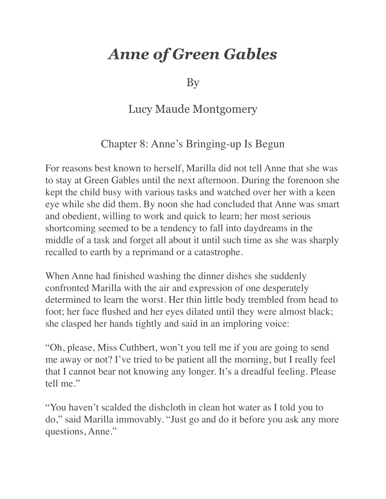## *Anne of Green Gables*

By

## Lucy Maude Montgomery

## Chapter 8: Anne's Bringing-up Is Begun

For reasons best known to herself, Marilla did not tell Anne that she was to stay at Green Gables until the next afternoon. During the forenoon she kept the child busy with various tasks and watched over her with a keen eye while she did them. By noon she had concluded that Anne was smart and obedient, willing to work and quick to learn; her most serious shortcoming seemed to be a tendency to fall into daydreams in the middle of a task and forget all about it until such time as she was sharply recalled to earth by a reprimand or a catastrophe.

When Anne had finished washing the dinner dishes she suddenly confronted Marilla with the air and expression of one desperately determined to learn the worst. Her thin little body trembled from head to foot; her face flushed and her eyes dilated until they were almost black; she clasped her hands tightly and said in an imploring voice:

"Oh, please, Miss Cuthbert, won't you tell me if you are going to send me away or not? I've tried to be patient all the morning, but I really feel that I cannot bear not knowing any longer. It's a dreadful feeling. Please tell me."

"You haven't scalded the dishcloth in clean hot water as I told you to do," said Marilla immovably. "Just go and do it before you ask any more questions, Anne."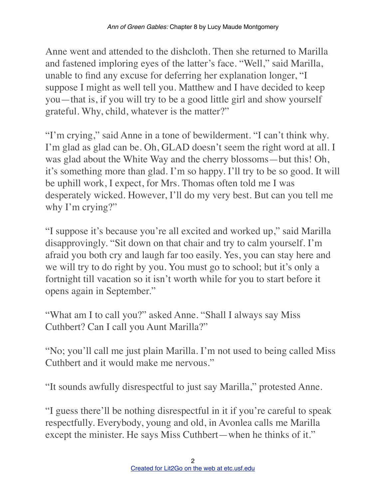Anne went and attended to the dishcloth. Then she returned to Marilla and fastened imploring eyes of the latter's face. "Well," said Marilla, unable to find any excuse for deferring her explanation longer, "I suppose I might as well tell you. Matthew and I have decided to keep you—that is, if you will try to be a good little girl and show yourself grateful. Why, child, whatever is the matter?"

"I'm crying," said Anne in a tone of bewilderment. "I can't think why. I'm glad as glad can be. Oh, GLAD doesn't seem the right word at all. I was glad about the White Way and the cherry blossoms—but this! Oh, it's something more than glad. I'm so happy. I'll try to be so good. It will be uphill work, I expect, for Mrs. Thomas often told me I was desperately wicked. However, I'll do my very best. But can you tell me why I'm crying?"

"I suppose it's because you're all excited and worked up," said Marilla disapprovingly. "Sit down on that chair and try to calm yourself. I'm afraid you both cry and laugh far too easily. Yes, you can stay here and we will try to do right by you. You must go to school; but it's only a fortnight till vacation so it isn't worth while for you to start before it opens again in September."

"What am I to call you?" asked Anne. "Shall I always say Miss Cuthbert? Can I call you Aunt Marilla?"

"No; you'll call me just plain Marilla. I'm not used to being called Miss Cuthbert and it would make me nervous."

"It sounds awfully disrespectful to just say Marilla," protested Anne.

"I guess there'll be nothing disrespectful in it if you're careful to speak respectfully. Everybody, young and old, in Avonlea calls me Marilla except the minister. He says Miss Cuthbert—when he thinks of it."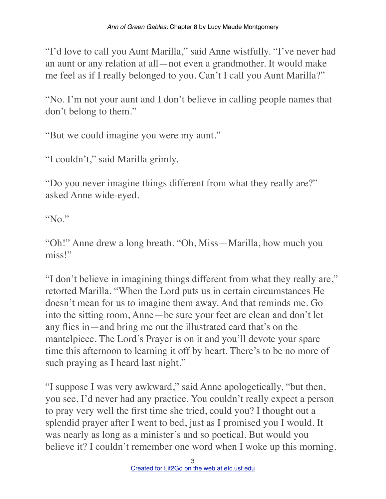"I'd love to call you Aunt Marilla," said Anne wistfully. "I've never had an aunt or any relation at all—not even a grandmother. It would make me feel as if I really belonged to you. Can't I call you Aunt Marilla?"

"No. I'm not your aunt and I don't believe in calling people names that don't belong to them."

"But we could imagine you were my aunt."

"I couldn't," said Marilla grimly.

"Do you never imagine things different from what they really are?" asked Anne wide-eyed.

"No."

"Oh!" Anne drew a long breath. "Oh, Miss—Marilla, how much you miss!"

"I don't believe in imagining things different from what they really are," retorted Marilla. "When the Lord puts us in certain circumstances He doesn't mean for us to imagine them away. And that reminds me. Go into the sitting room, Anne—be sure your feet are clean and don't let any flies in—and bring me out the illustrated card that's on the mantelpiece. The Lord's Prayer is on it and you'll devote your spare time this afternoon to learning it off by heart. There's to be no more of such praying as I heard last night."

"I suppose I was very awkward," said Anne apologetically, "but then, you see, I'd never had any practice. You couldn't really expect a person to pray very well the first time she tried, could you? I thought out a splendid prayer after I went to bed, just as I promised you I would. It was nearly as long as a minister's and so poetical. But would you believe it? I couldn't remember one word when I woke up this morning.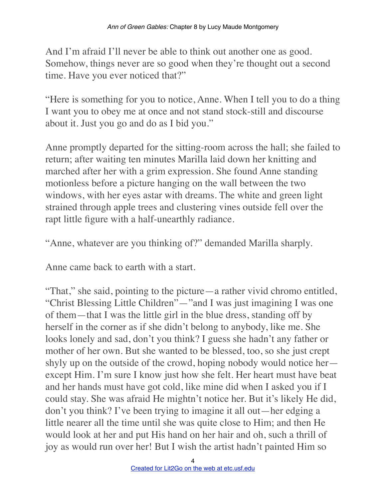And I'm afraid I'll never be able to think out another one as good. Somehow, things never are so good when they're thought out a second time. Have you ever noticed that?"

"Here is something for you to notice, Anne. When I tell you to do a thing I want you to obey me at once and not stand stock-still and discourse about it. Just you go and do as I bid you."

Anne promptly departed for the sitting-room across the hall; she failed to return; after waiting ten minutes Marilla laid down her knitting and marched after her with a grim expression. She found Anne standing motionless before a picture hanging on the wall between the two windows, with her eyes astar with dreams. The white and green light strained through apple trees and clustering vines outside fell over the rapt little figure with a half-unearthly radiance.

"Anne, whatever are you thinking of?" demanded Marilla sharply.

Anne came back to earth with a start.

"That," she said, pointing to the picture—a rather vivid chromo entitled, "Christ Blessing Little Children"—"and I was just imagining I was one of them—that I was the little girl in the blue dress, standing off by herself in the corner as if she didn't belong to anybody, like me. She looks lonely and sad, don't you think? I guess she hadn't any father or mother of her own. But she wanted to be blessed, too, so she just crept shyly up on the outside of the crowd, hoping nobody would notice her except Him. I'm sure I know just how she felt. Her heart must have beat and her hands must have got cold, like mine did when I asked you if I could stay. She was afraid He mightn't notice her. But it's likely He did, don't you think? I've been trying to imagine it all out—her edging a little nearer all the time until she was quite close to Him; and then He would look at her and put His hand on her hair and oh, such a thrill of joy as would run over her! But I wish the artist hadn't painted Him so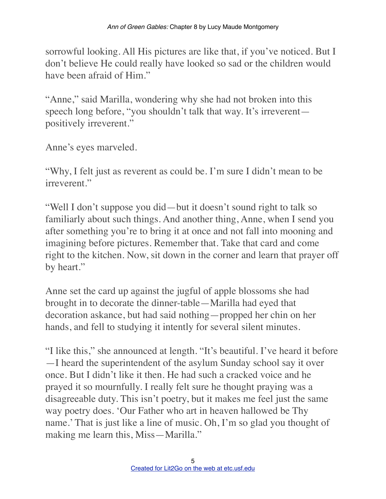sorrowful looking. All His pictures are like that, if you've noticed. But I don't believe He could really have looked so sad or the children would have been afraid of Him."

"Anne," said Marilla, wondering why she had not broken into this speech long before, "you shouldn't talk that way. It's irreverent positively irreverent."

Anne's eyes marveled.

"Why, I felt just as reverent as could be. I'm sure I didn't mean to be irreverent."

"Well I don't suppose you did—but it doesn't sound right to talk so familiarly about such things. And another thing, Anne, when I send you after something you're to bring it at once and not fall into mooning and imagining before pictures. Remember that. Take that card and come right to the kitchen. Now, sit down in the corner and learn that prayer off by heart."

Anne set the card up against the jugful of apple blossoms she had brought in to decorate the dinner-table—Marilla had eyed that decoration askance, but had said nothing—propped her chin on her hands, and fell to studying it intently for several silent minutes.

"I like this," she announced at length. "It's beautiful. I've heard it before —I heard the superintendent of the asylum Sunday school say it over once. But I didn't like it then. He had such a cracked voice and he prayed it so mournfully. I really felt sure he thought praying was a disagreeable duty. This isn't poetry, but it makes me feel just the same way poetry does. 'Our Father who art in heaven hallowed be Thy name.' That is just like a line of music. Oh, I'm so glad you thought of making me learn this, Miss—Marilla."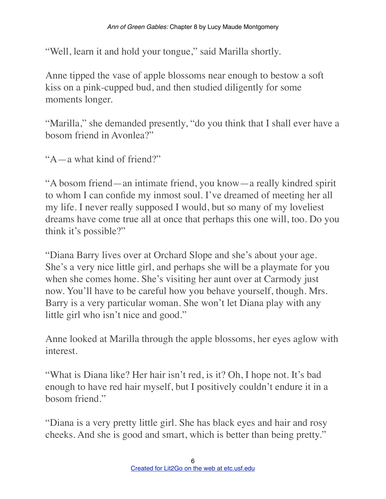"Well, learn it and hold your tongue," said Marilla shortly.

Anne tipped the vase of apple blossoms near enough to bestow a soft kiss on a pink-cupped bud, and then studied diligently for some moments longer.

"Marilla," she demanded presently, "do you think that I shall ever have a bosom friend in Avonlea?"

"A—a what kind of friend?"

"A bosom friend—an intimate friend, you know—a really kindred spirit to whom I can confide my inmost soul. I've dreamed of meeting her all my life. I never really supposed I would, but so many of my loveliest dreams have come true all at once that perhaps this one will, too. Do you think it's possible?"

"Diana Barry lives over at Orchard Slope and she's about your age. She's a very nice little girl, and perhaps she will be a playmate for you when she comes home. She's visiting her aunt over at Carmody just now. You'll have to be careful how you behave yourself, though. Mrs. Barry is a very particular woman. She won't let Diana play with any little girl who isn't nice and good."

Anne looked at Marilla through the apple blossoms, her eyes aglow with interest.

"What is Diana like? Her hair isn't red, is it? Oh, I hope not. It's bad enough to have red hair myself, but I positively couldn't endure it in a bosom friend."

"Diana is a very pretty little girl. She has black eyes and hair and rosy cheeks. And she is good and smart, which is better than being pretty."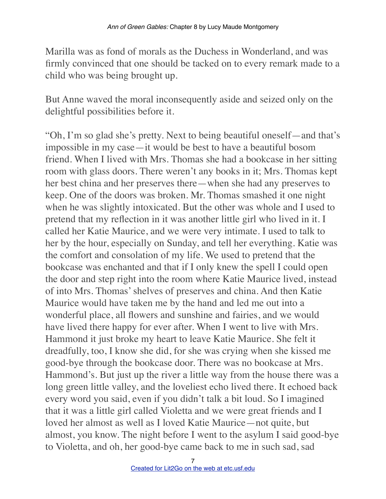Marilla was as fond of morals as the Duchess in Wonderland, and was firmly convinced that one should be tacked on to every remark made to a child who was being brought up.

But Anne waved the moral inconsequently aside and seized only on the delightful possibilities before it.

"Oh, I'm so glad she's pretty. Next to being beautiful oneself—and that's impossible in my case—it would be best to have a beautiful bosom friend. When I lived with Mrs. Thomas she had a bookcase in her sitting room with glass doors. There weren't any books in it; Mrs. Thomas kept her best china and her preserves there—when she had any preserves to keep. One of the doors was broken. Mr. Thomas smashed it one night when he was slightly intoxicated. But the other was whole and I used to pretend that my reflection in it was another little girl who lived in it. I called her Katie Maurice, and we were very intimate. I used to talk to her by the hour, especially on Sunday, and tell her everything. Katie was the comfort and consolation of my life. We used to pretend that the bookcase was enchanted and that if I only knew the spell I could open the door and step right into the room where Katie Maurice lived, instead of into Mrs. Thomas' shelves of preserves and china. And then Katie Maurice would have taken me by the hand and led me out into a wonderful place, all flowers and sunshine and fairies, and we would have lived there happy for ever after. When I went to live with Mrs. Hammond it just broke my heart to leave Katie Maurice. She felt it dreadfully, too, I know she did, for she was crying when she kissed me good-bye through the bookcase door. There was no bookcase at Mrs. Hammond's. But just up the river a little way from the house there was a long green little valley, and the loveliest echo lived there. It echoed back every word you said, even if you didn't talk a bit loud. So I imagined that it was a little girl called Violetta and we were great friends and I loved her almost as well as I loved Katie Maurice—not quite, but almost, you know. The night before I went to the asylum I said good-bye to Violetta, and oh, her good-bye came back to me in such sad, sad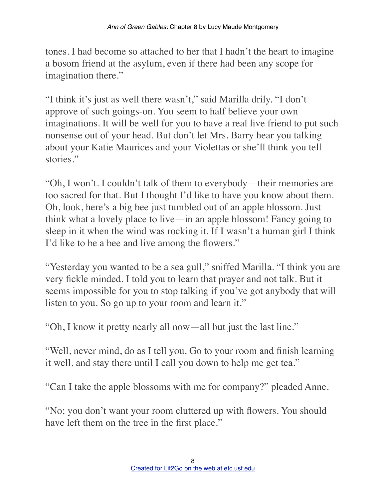tones. I had become so attached to her that I hadn't the heart to imagine a bosom friend at the asylum, even if there had been any scope for imagination there."

"I think it's just as well there wasn't," said Marilla drily. "I don't approve of such goings-on. You seem to half believe your own imaginations. It will be well for you to have a real live friend to put such nonsense out of your head. But don't let Mrs. Barry hear you talking about your Katie Maurices and your Violettas or she'll think you tell stories."

"Oh, I won't. I couldn't talk of them to everybody—their memories are too sacred for that. But I thought I'd like to have you know about them. Oh, look, here's a big bee just tumbled out of an apple blossom. Just think what a lovely place to live—in an apple blossom! Fancy going to sleep in it when the wind was rocking it. If I wasn't a human girl I think I'd like to be a bee and live among the flowers."

"Yesterday you wanted to be a sea gull," sniffed Marilla. "I think you are very fickle minded. I told you to learn that prayer and not talk. But it seems impossible for you to stop talking if you've got anybody that will listen to you. So go up to your room and learn it."

"Oh, I know it pretty nearly all now—all but just the last line."

"Well, never mind, do as I tell you. Go to your room and finish learning it well, and stay there until I call you down to help me get tea."

"Can I take the apple blossoms with me for company?" pleaded Anne.

"No; you don't want your room cluttered up with flowers. You should have left them on the tree in the first place."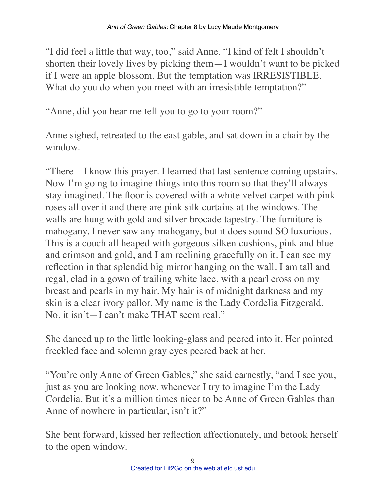"I did feel a little that way, too," said Anne. "I kind of felt I shouldn't shorten their lovely lives by picking them—I wouldn't want to be picked if I were an apple blossom. But the temptation was IRRESISTIBLE. What do you do when you meet with an irresistible temptation?"

"Anne, did you hear me tell you to go to your room?"

Anne sighed, retreated to the east gable, and sat down in a chair by the window.

"There—I know this prayer. I learned that last sentence coming upstairs. Now I'm going to imagine things into this room so that they'll always stay imagined. The floor is covered with a white velvet carpet with pink roses all over it and there are pink silk curtains at the windows. The walls are hung with gold and silver brocade tapestry. The furniture is mahogany. I never saw any mahogany, but it does sound SO luxurious. This is a couch all heaped with gorgeous silken cushions, pink and blue and crimson and gold, and I am reclining gracefully on it. I can see my reflection in that splendid big mirror hanging on the wall. I am tall and regal, clad in a gown of trailing white lace, with a pearl cross on my breast and pearls in my hair. My hair is of midnight darkness and my skin is a clear ivory pallor. My name is the Lady Cordelia Fitzgerald. No, it isn't—I can't make THAT seem real."

She danced up to the little looking-glass and peered into it. Her pointed freckled face and solemn gray eyes peered back at her.

"You're only Anne of Green Gables," she said earnestly, "and I see you, just as you are looking now, whenever I try to imagine I'm the Lady Cordelia. But it's a million times nicer to be Anne of Green Gables than Anne of nowhere in particular, isn't it?"

She bent forward, kissed her reflection affectionately, and betook herself to the open window.